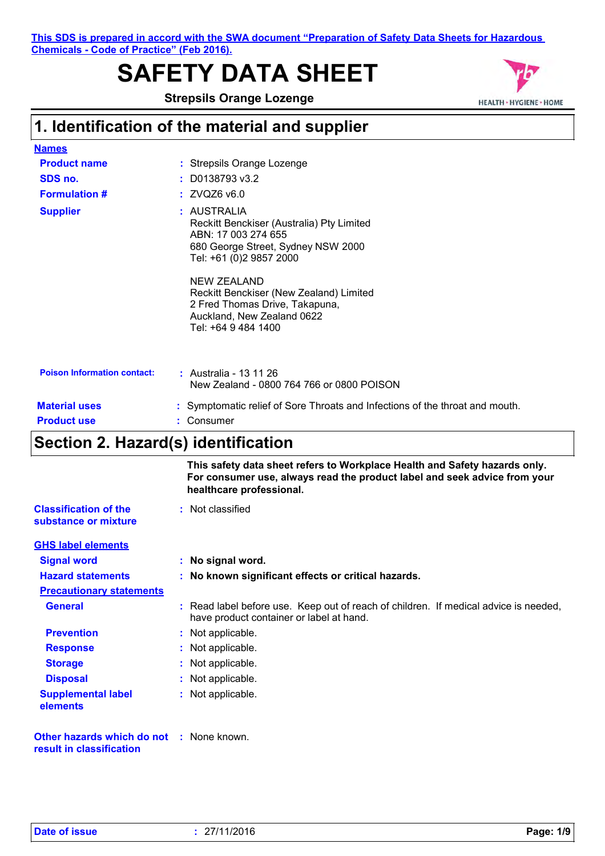**This SDS is prepared in accord with the SWA document "Preparation of Safety Data Sheets for Hazardous Chemicals - Code of Practice" (Feb 2016).**

# **SAFETY DATA SHEET**

**Strepsils Orange Lozenge**



## **1. Identification of the material and supplier**

| <b>Names</b>                       |                                                                                                                                                                                                                                                                                                          |
|------------------------------------|----------------------------------------------------------------------------------------------------------------------------------------------------------------------------------------------------------------------------------------------------------------------------------------------------------|
| <b>Product name</b>                | : Strepsils Orange Lozenge                                                                                                                                                                                                                                                                               |
| SDS no.                            | $:$ D0138793 v3.2                                                                                                                                                                                                                                                                                        |
| <b>Formulation #</b>               | : ZVQZ6 v6.0                                                                                                                                                                                                                                                                                             |
| <b>Supplier</b>                    | : AUSTRALIA<br>Reckitt Benckiser (Australia) Pty Limited<br>ABN: 17 003 274 655<br>680 George Street, Sydney NSW 2000<br>Tel: +61 (0)2 9857 2000<br><b>NEW ZEALAND</b><br>Reckitt Benckiser (New Zealand) Limited<br>2 Fred Thomas Drive, Takapuna,<br>Auckland, New Zealand 0622<br>Tel: +64 9 484 1400 |
| <b>Poison Information contact:</b> | : Australia - 13 11 26<br>New Zealand - 0800 764 766 or 0800 POISON                                                                                                                                                                                                                                      |
| <b>Material uses</b>               | : Symptomatic relief of Sore Throats and Infections of the throat and mouth.                                                                                                                                                                                                                             |
| <b>Product use</b>                 | : Consumer                                                                                                                                                                                                                                                                                               |

## **Section 2. Hazard(s) identification**

|                                                                             | This safety data sheet refers to Workplace Health and Safety hazards only.<br>For consumer use, always read the product label and seek advice from your<br>healthcare professional. |
|-----------------------------------------------------------------------------|-------------------------------------------------------------------------------------------------------------------------------------------------------------------------------------|
| <b>Classification of the</b><br>substance or mixture                        | : Not classified                                                                                                                                                                    |
| <b>GHS label elements</b>                                                   |                                                                                                                                                                                     |
| <b>Signal word</b>                                                          | : No signal word.                                                                                                                                                                   |
| <b>Hazard statements</b>                                                    | : No known significant effects or critical hazards.                                                                                                                                 |
| <b>Precautionary statements</b>                                             |                                                                                                                                                                                     |
| <b>General</b>                                                              | : Read label before use. Keep out of reach of children. If medical advice is needed,<br>have product container or label at hand.                                                    |
| <b>Prevention</b>                                                           | : Not applicable.                                                                                                                                                                   |
| <b>Response</b>                                                             | : Not applicable.                                                                                                                                                                   |
| <b>Storage</b>                                                              | : Not applicable.                                                                                                                                                                   |
| <b>Disposal</b>                                                             | : Not applicable.                                                                                                                                                                   |
| <b>Supplemental label</b><br>elements                                       | : Not applicable.                                                                                                                                                                   |
| <b>Other hazards which do not : None known.</b><br>result in classification |                                                                                                                                                                                     |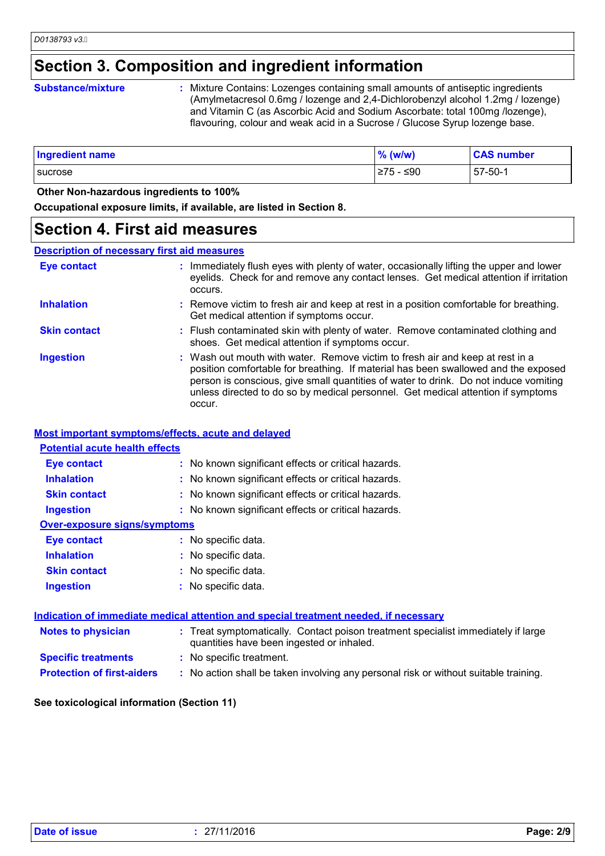## **Section 3. Composition and ingredient information**

### **Substance/mixture :**

Mixture Contains: Lozenges containing small amounts of antiseptic ingredients (Amylmetacresol 0.6mg / lozenge and 2,4-Dichlorobenzyl alcohol 1.2mg / lozenge) and Vitamin C (as Ascorbic Acid and Sodium Ascorbate: total 100mg /lozenge), flavouring, colour and weak acid in a Sucrose / Glucose Syrup lozenge base.

| <b>Ingredient name</b> | $\%$ (w/w) | <b>CAS number</b> |
|------------------------|------------|-------------------|
| <b>Sucrose</b>         | 275 - ≤90  | $57 - 50 - 1$     |

 **Other Non-hazardous ingredients to 100%**

**Occupational exposure limits, if available, are listed in Section 8.**

### **Section 4. First aid measures**

### **Description of necessary first aid measures**

| <b>Eye contact</b>  | : Immediately flush eyes with plenty of water, occasionally lifting the upper and lower<br>eyelids. Check for and remove any contact lenses. Get medical attention if irritation<br>occurs.                                                                                                                                                               |
|---------------------|-----------------------------------------------------------------------------------------------------------------------------------------------------------------------------------------------------------------------------------------------------------------------------------------------------------------------------------------------------------|
| <b>Inhalation</b>   | : Remove victim to fresh air and keep at rest in a position comfortable for breathing.<br>Get medical attention if symptoms occur.                                                                                                                                                                                                                        |
| <b>Skin contact</b> | : Flush contaminated skin with plenty of water. Remove contaminated clothing and<br>shoes. Get medical attention if symptoms occur.                                                                                                                                                                                                                       |
| <b>Ingestion</b>    | : Wash out mouth with water. Remove victim to fresh air and keep at rest in a<br>position comfortable for breathing. If material has been swallowed and the exposed<br>person is conscious, give small quantities of water to drink. Do not induce vomiting<br>unless directed to do so by medical personnel. Get medical attention if symptoms<br>occur. |

### **Most important symptoms/effects, acute and delayed**

| <b>Potential acute health effects</b> |                                                                                                                                |
|---------------------------------------|--------------------------------------------------------------------------------------------------------------------------------|
| <b>Eye contact</b>                    | : No known significant effects or critical hazards.                                                                            |
| <b>Inhalation</b>                     | : No known significant effects or critical hazards.                                                                            |
| <b>Skin contact</b>                   | : No known significant effects or critical hazards.                                                                            |
| <b>Ingestion</b>                      | : No known significant effects or critical hazards.                                                                            |
| <b>Over-exposure signs/symptoms</b>   |                                                                                                                                |
| <b>Eye contact</b>                    | : No specific data.                                                                                                            |
| <b>Inhalation</b>                     | : No specific data.                                                                                                            |
| <b>Skin contact</b>                   | : No specific data.                                                                                                            |
| <b>Ingestion</b>                      | : No specific data.                                                                                                            |
|                                       | Indication of immediate medical attention and special treatment needed, if necessary                                           |
| <b>Notes to physician</b>             | : Treat symptomatically. Contact poison treatment specialist immediately if large<br>quantities have been ingested or inhaled. |
| <b>Specific treatments</b>            | : No specific treatment.                                                                                                       |

**Protection of first-aiders** : No action shall be taken involving any personal risk or without suitable training.

### **See toxicological information (Section 11)**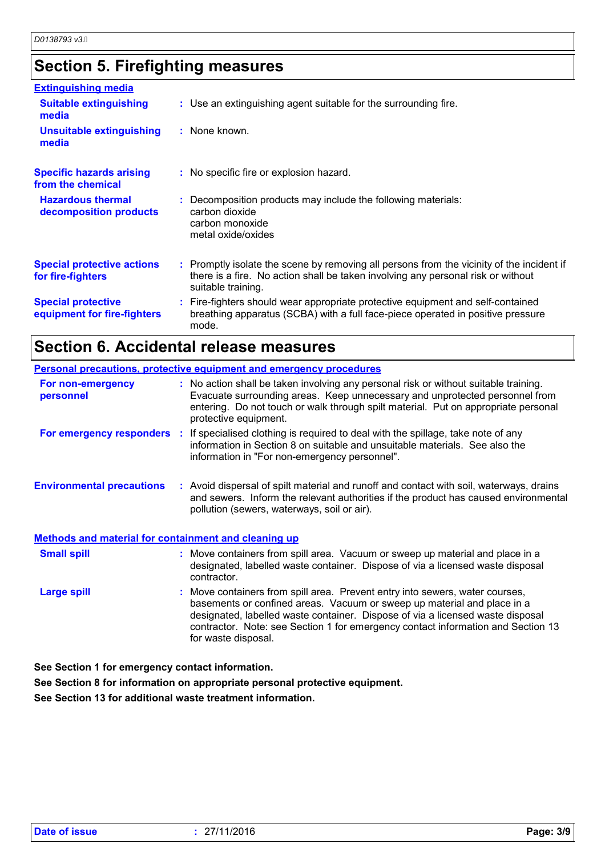## **Section 5. Firefighting measures**

| <b>Extinguishing media</b>                               |                                                                                                                                                                                                     |
|----------------------------------------------------------|-----------------------------------------------------------------------------------------------------------------------------------------------------------------------------------------------------|
| <b>Suitable extinguishing</b><br>media                   | : Use an extinguishing agent suitable for the surrounding fire.                                                                                                                                     |
| <b>Unsuitable extinguishing</b><br>media                 | : None known.                                                                                                                                                                                       |
| <b>Specific hazards arising</b><br>from the chemical     | : No specific fire or explosion hazard.                                                                                                                                                             |
| <b>Hazardous thermal</b><br>decomposition products       | : Decomposition products may include the following materials:<br>carbon dioxide<br>carbon monoxide<br>metal oxide/oxides                                                                            |
| <b>Special protective actions</b><br>for fire-fighters   | : Promptly isolate the scene by removing all persons from the vicinity of the incident if<br>there is a fire. No action shall be taken involving any personal risk or without<br>suitable training. |
| <b>Special protective</b><br>equipment for fire-fighters | : Fire-fighters should wear appropriate protective equipment and self-contained<br>breathing apparatus (SCBA) with a full face-piece operated in positive pressure<br>mode.                         |

## **Section 6. Accidental release measures**

|                                                             | <b>Personal precautions, protective equipment and emergency procedures</b>                                                                                                                                                                                                                                                                           |
|-------------------------------------------------------------|------------------------------------------------------------------------------------------------------------------------------------------------------------------------------------------------------------------------------------------------------------------------------------------------------------------------------------------------------|
| For non-emergency<br>personnel                              | : No action shall be taken involving any personal risk or without suitable training.<br>Evacuate surrounding areas. Keep unnecessary and unprotected personnel from<br>entering. Do not touch or walk through spilt material. Put on appropriate personal<br>protective equipment.                                                                   |
|                                                             | For emergency responders : If specialised clothing is required to deal with the spillage, take note of any<br>information in Section 8 on suitable and unsuitable materials. See also the<br>information in "For non-emergency personnel".                                                                                                           |
| <b>Environmental precautions</b>                            | : Avoid dispersal of spilt material and runoff and contact with soil, waterways, drains<br>and sewers. Inform the relevant authorities if the product has caused environmental<br>pollution (sewers, waterways, soil or air).                                                                                                                        |
| <b>Methods and material for containment and cleaning up</b> |                                                                                                                                                                                                                                                                                                                                                      |
| <b>Small spill</b>                                          | : Move containers from spill area. Vacuum or sweep up material and place in a<br>designated, labelled waste container. Dispose of via a licensed waste disposal<br>contractor.                                                                                                                                                                       |
| <b>Large spill</b>                                          | : Move containers from spill area. Prevent entry into sewers, water courses,<br>basements or confined areas. Vacuum or sweep up material and place in a<br>designated, labelled waste container. Dispose of via a licensed waste disposal<br>contractor. Note: see Section 1 for emergency contact information and Section 13<br>for waste disposal. |

**See Section 1 for emergency contact information.**

**See Section 8 for information on appropriate personal protective equipment.**

**See Section 13 for additional waste treatment information.**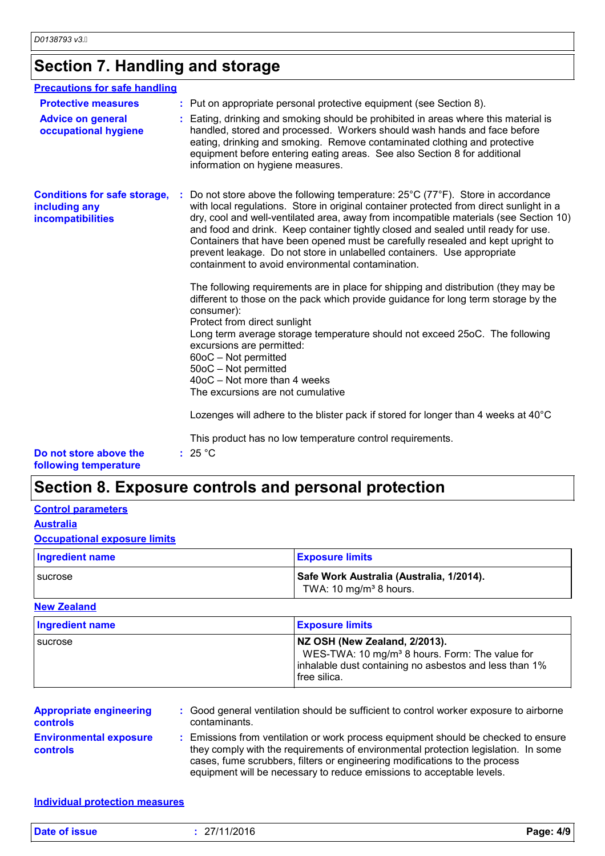## **Section 7. Handling and storage**

| <b>Precautions for safe handling</b>                                      |                                                                                                                                                                                                                                                                                                                                                                                                                                                                                                                                                                            |
|---------------------------------------------------------------------------|----------------------------------------------------------------------------------------------------------------------------------------------------------------------------------------------------------------------------------------------------------------------------------------------------------------------------------------------------------------------------------------------------------------------------------------------------------------------------------------------------------------------------------------------------------------------------|
| <b>Protective measures</b>                                                | : Put on appropriate personal protective equipment (see Section 8).                                                                                                                                                                                                                                                                                                                                                                                                                                                                                                        |
| <b>Advice on general</b><br>occupational hygiene                          | : Eating, drinking and smoking should be prohibited in areas where this material is<br>handled, stored and processed. Workers should wash hands and face before<br>eating, drinking and smoking. Remove contaminated clothing and protective<br>equipment before entering eating areas. See also Section 8 for additional<br>information on hygiene measures.                                                                                                                                                                                                              |
| <b>Conditions for safe storage,</b><br>including any<br>incompatibilities | Do not store above the following temperature: 25°C (77°F). Store in accordance<br>with local regulations. Store in original container protected from direct sunlight in a<br>dry, cool and well-ventilated area, away from incompatible materials (see Section 10)<br>and food and drink. Keep container tightly closed and sealed until ready for use.<br>Containers that have been opened must be carefully resealed and kept upright to<br>prevent leakage. Do not store in unlabelled containers. Use appropriate<br>containment to avoid environmental contamination. |
|                                                                           | The following requirements are in place for shipping and distribution (they may be<br>different to those on the pack which provide guidance for long term storage by the<br>consumer):<br>Protect from direct sunlight<br>Long term average storage temperature should not exceed 25oC. The following<br>excursions are permitted:<br>60oC - Not permitted<br>50oC - Not permitted<br>40oC - Not more than 4 weeks<br>The excursions are not cumulative                                                                                                                    |
|                                                                           | Lozenges will adhere to the blister pack if stored for longer than 4 weeks at 40°C                                                                                                                                                                                                                                                                                                                                                                                                                                                                                         |
|                                                                           | This product has no low temperature control requirements.                                                                                                                                                                                                                                                                                                                                                                                                                                                                                                                  |
| Do not store above the<br>following temperature                           | : 25 °C                                                                                                                                                                                                                                                                                                                                                                                                                                                                                                                                                                    |

## **Section 8. Exposure controls and personal protection**

### **Control parameters**

### **Australia**

### **Occupational exposure limits**

| <b>Ingredient name</b> | <b>Exposure limits</b>                                                                |
|------------------------|---------------------------------------------------------------------------------------|
| <b>I</b> sucrose       | <b>Safe Work Australia (Australia, 1/2014).</b><br>TWA: 10 mg/m <sup>3</sup> 8 hours. |

### **New Zealand**

| Ingredient name | <b>Exposure limits</b>                                                                                                                                                  |
|-----------------|-------------------------------------------------------------------------------------------------------------------------------------------------------------------------|
| sucrose         | NZ OSH (New Zealand, 2/2013).<br>WES-TWA: 10 mg/m <sup>3</sup> 8 hours. Form: The value for<br>inhalable dust containing no asbestos and less than 1%<br>l free silica. |

| <b>Appropriate engineering</b><br><b>controls</b> | contaminants. | : Good general ventilation should be sufficient to control worker exposure to airborne                                                                                                                                                                                                                                          |
|---------------------------------------------------|---------------|---------------------------------------------------------------------------------------------------------------------------------------------------------------------------------------------------------------------------------------------------------------------------------------------------------------------------------|
| <b>Environmental exposure</b><br><b>controls</b>  |               | : Emissions from ventilation or work process equipment should be checked to ensure<br>they comply with the requirements of environmental protection legislation. In some<br>cases, fume scrubbers, filters or engineering modifications to the process<br>equipment will be necessary to reduce emissions to acceptable levels. |

**Individual protection measures**

| <b>Date of issue</b><br>27/11/2016<br>Page: 4/9 |
|-------------------------------------------------|
|-------------------------------------------------|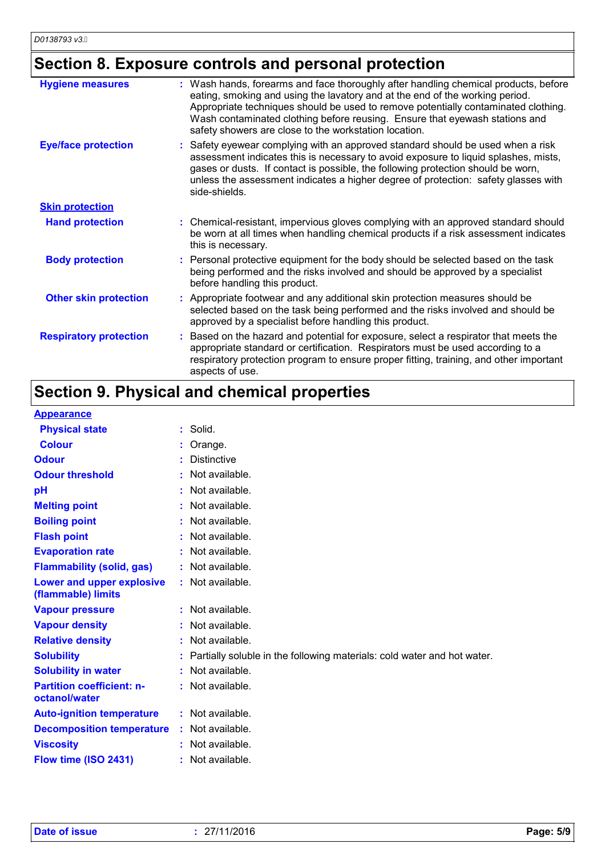## **Section 8. Exposure controls and personal protection**

| <b>Hygiene measures</b>       | Wash hands, forearms and face thoroughly after handling chemical products, before<br>eating, smoking and using the lavatory and at the end of the working period.<br>Appropriate techniques should be used to remove potentially contaminated clothing.<br>Wash contaminated clothing before reusing. Ensure that eyewash stations and<br>safety showers are close to the workstation location. |  |  |
|-------------------------------|-------------------------------------------------------------------------------------------------------------------------------------------------------------------------------------------------------------------------------------------------------------------------------------------------------------------------------------------------------------------------------------------------|--|--|
| <b>Eye/face protection</b>    | Safety eyewear complying with an approved standard should be used when a risk<br>assessment indicates this is necessary to avoid exposure to liquid splashes, mists,<br>gases or dusts. If contact is possible, the following protection should be worn,<br>unless the assessment indicates a higher degree of protection: safety glasses with<br>side-shields.                                 |  |  |
| <b>Skin protection</b>        |                                                                                                                                                                                                                                                                                                                                                                                                 |  |  |
| <b>Hand protection</b>        | : Chemical-resistant, impervious gloves complying with an approved standard should<br>be worn at all times when handling chemical products if a risk assessment indicates<br>this is necessary.                                                                                                                                                                                                 |  |  |
| <b>Body protection</b>        | : Personal protective equipment for the body should be selected based on the task<br>being performed and the risks involved and should be approved by a specialist<br>before handling this product.                                                                                                                                                                                             |  |  |
| <b>Other skin protection</b>  | Appropriate footwear and any additional skin protection measures should be<br>selected based on the task being performed and the risks involved and should be<br>approved by a specialist before handling this product.                                                                                                                                                                         |  |  |
| <b>Respiratory protection</b> | Based on the hazard and potential for exposure, select a respirator that meets the<br>appropriate standard or certification. Respirators must be used according to a<br>respiratory protection program to ensure proper fitting, training, and other important<br>aspects of use.                                                                                                               |  |  |

## **Section 9. Physical and chemical properties**

### **Appearance**

| <b>Physical state</b>                             | Solid.                                                                  |
|---------------------------------------------------|-------------------------------------------------------------------------|
| <b>Colour</b>                                     | Orange.                                                                 |
| <b>Odour</b>                                      | <b>Distinctive</b>                                                      |
| <b>Odour threshold</b>                            | $:$ Not available.                                                      |
| pH                                                | Not available.                                                          |
| <b>Melting point</b>                              | : Not available.                                                        |
| <b>Boiling point</b>                              | : Not available.                                                        |
| <b>Flash point</b>                                | Not available.                                                          |
| <b>Evaporation rate</b>                           | Not available.                                                          |
| <b>Flammability (solid, gas)</b>                  | : Not available.                                                        |
| Lower and upper explosive<br>(flammable) limits   | : Not available.                                                        |
| <b>Vapour pressure</b>                            | : Not available.                                                        |
| <b>Vapour density</b>                             | : Not available.                                                        |
| <b>Relative density</b>                           | Not available.                                                          |
| <b>Solubility</b>                                 | Partially soluble in the following materials: cold water and hot water. |
| <b>Solubility in water</b>                        | : Not available.                                                        |
| <b>Partition coefficient: n-</b><br>octanol/water | : Not available.                                                        |
| <b>Auto-ignition temperature</b>                  | : Not available.                                                        |
| <b>Decomposition temperature</b>                  | $:$ Not available.                                                      |
| <b>Viscosity</b>                                  | : Not available.                                                        |
| Flow time (ISO 2431)                              | : Not available.                                                        |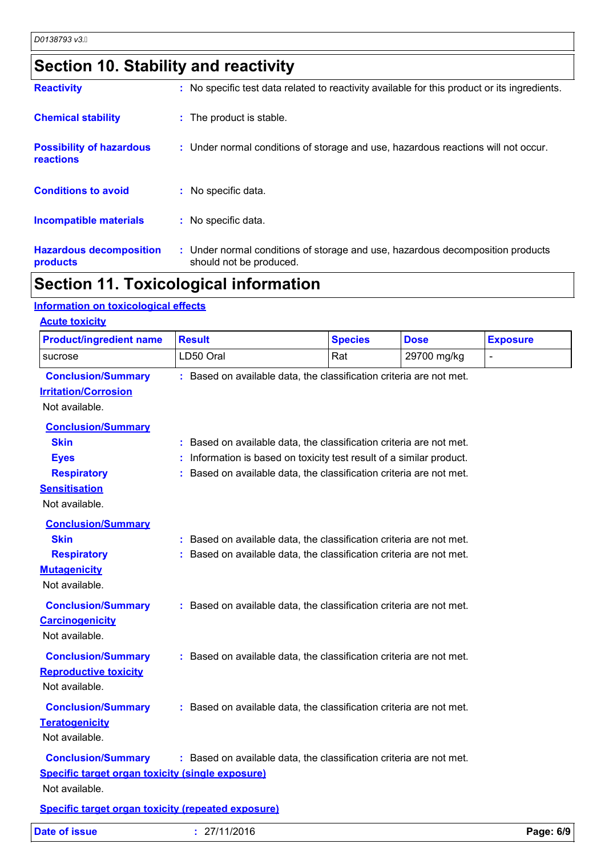## **Section 10. Stability and reactivity**

| <b>Reactivity</b>                            | : No specific test data related to reactivity available for this product or its ingredients.              |
|----------------------------------------------|-----------------------------------------------------------------------------------------------------------|
| <b>Chemical stability</b>                    | : The product is stable.                                                                                  |
| <b>Possibility of hazardous</b><br>reactions | : Under normal conditions of storage and use, hazardous reactions will not occur.                         |
| <b>Conditions to avoid</b>                   | : No specific data.                                                                                       |
| <b>Incompatible materials</b>                | : No specific data.                                                                                       |
| <b>Hazardous decomposition</b><br>products   | : Under normal conditions of storage and use, hazardous decomposition products<br>should not be produced. |

## **Section 11. Toxicological information**

### **Information on toxicological effects**

| <b>Product/ingredient name</b>                                                                                          | <b>Result</b>                                                                                                                                                                                                  | <b>Species</b> | <b>Dose</b> | <b>Exposure</b> |  |
|-------------------------------------------------------------------------------------------------------------------------|----------------------------------------------------------------------------------------------------------------------------------------------------------------------------------------------------------------|----------------|-------------|-----------------|--|
| sucrose                                                                                                                 | LD50 Oral                                                                                                                                                                                                      | Rat            | 29700 mg/kg |                 |  |
| <b>Conclusion/Summary</b><br><b>Irritation/Corrosion</b><br>Not available.                                              | : Based on available data, the classification criteria are not met.                                                                                                                                            |                |             |                 |  |
| <b>Conclusion/Summary</b><br><b>Skin</b><br><b>Eyes</b><br><b>Respiratory</b><br><b>Sensitisation</b><br>Not available. | : Based on available data, the classification criteria are not met.<br>Information is based on toxicity test result of a similar product.<br>Based on available data, the classification criteria are not met. |                |             |                 |  |
| <b>Conclusion/Summary</b><br><b>Skin</b><br><b>Respiratory</b><br><b>Mutagenicity</b><br>Not available.                 | : Based on available data, the classification criteria are not met.<br>: Based on available data, the classification criteria are not met.                                                                     |                |             |                 |  |
| <b>Conclusion/Summary</b><br><b>Carcinogenicity</b><br>Not available.                                                   | : Based on available data, the classification criteria are not met.                                                                                                                                            |                |             |                 |  |
| <b>Conclusion/Summary</b><br><b>Reproductive toxicity</b><br>Not available.                                             | : Based on available data, the classification criteria are not met.                                                                                                                                            |                |             |                 |  |
| <b>Conclusion/Summary</b><br><b>Teratogenicity</b><br>Not available.                                                    | : Based on available data, the classification criteria are not met.                                                                                                                                            |                |             |                 |  |
| <b>Conclusion/Summary</b><br><b>Specific target organ toxicity (single exposure)</b><br>Not available.                  | : Based on available data, the classification criteria are not met.                                                                                                                                            |                |             |                 |  |
| <b>Specific target organ toxicity (repeated exposure)</b>                                                               |                                                                                                                                                                                                                |                |             |                 |  |
| <b>Date of issue</b>                                                                                                    | : 27/11/2016                                                                                                                                                                                                   |                |             | Page: 6/9       |  |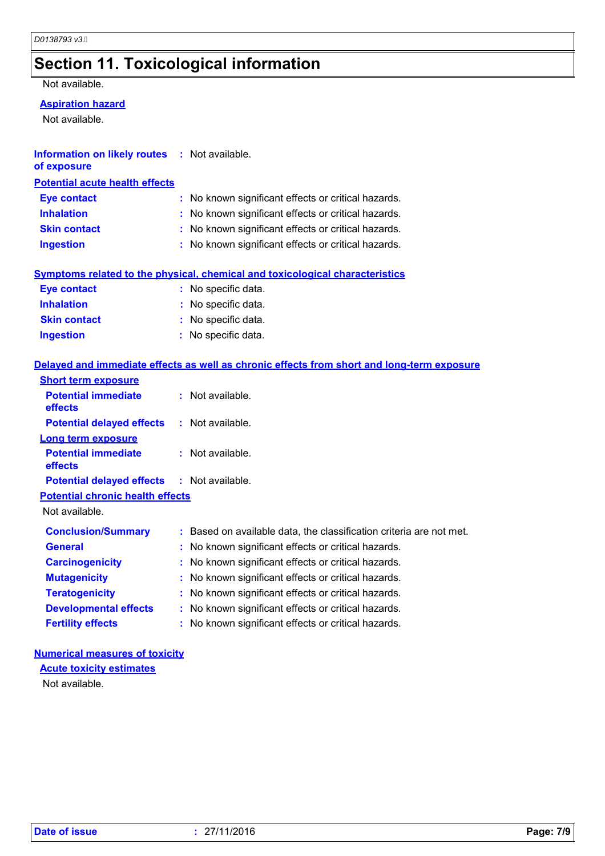## **Section 11. Toxicological information**

Not available.

### **Aspiration hazard**

Not available.

| <b>Information on likely routes : Not available.</b> |  |
|------------------------------------------------------|--|
| of exposure                                          |  |

### **Potential acute health effects**

| <b>Eye contact</b>  | : No known significant effects or critical hazards. |
|---------------------|-----------------------------------------------------|
| <b>Inhalation</b>   | : No known significant effects or critical hazards. |
| <b>Skin contact</b> | : No known significant effects or critical hazards. |
| <b>Ingestion</b>    | : No known significant effects or critical hazards. |

### **Symptoms related to the physical, chemical and toxicological characteristics**

| <b>Eye contact</b>  | : No specific data. |
|---------------------|---------------------|
| <b>Inhalation</b>   | : No specific data. |
| <b>Skin contact</b> | : No specific data. |
| <b>Ingestion</b>    | : No specific data. |

### **Delayed and immediate effects as well as chronic effects from short and long-term exposure**

| <b>Short term exposure</b>                        |                                                                     |
|---------------------------------------------------|---------------------------------------------------------------------|
| <b>Potential immediate</b><br><b>effects</b>      | $:$ Not available.                                                  |
| <b>Potential delayed effects</b>                  | : Not available.                                                    |
| <b>Long term exposure</b>                         |                                                                     |
| <b>Potential immediate</b><br><b>effects</b>      | $:$ Not available.                                                  |
| <b>Potential delayed effects : Not available.</b> |                                                                     |
| <b>Potential chronic health effects</b>           |                                                                     |
| Not available.                                    |                                                                     |
| <b>Conclusion/Summary</b>                         | : Based on available data, the classification criteria are not met. |
| <b>General</b>                                    | : No known significant effects or critical hazards.                 |
| <b>Carcinogenicity</b>                            | : No known significant effects or critical hazards.                 |
| <b>Mutagenicity</b>                               | : No known significant effects or critical hazards.                 |
| <b>Teratogenicity</b>                             | : No known significant effects or critical hazards.                 |
| <b>Developmental effects</b>                      | : No known significant effects or critical hazards.                 |
| <b>Fertility effects</b>                          | : No known significant effects or critical hazards.                 |

### **Numerical measures of toxicity**

**Acute toxicity estimates**

Not available.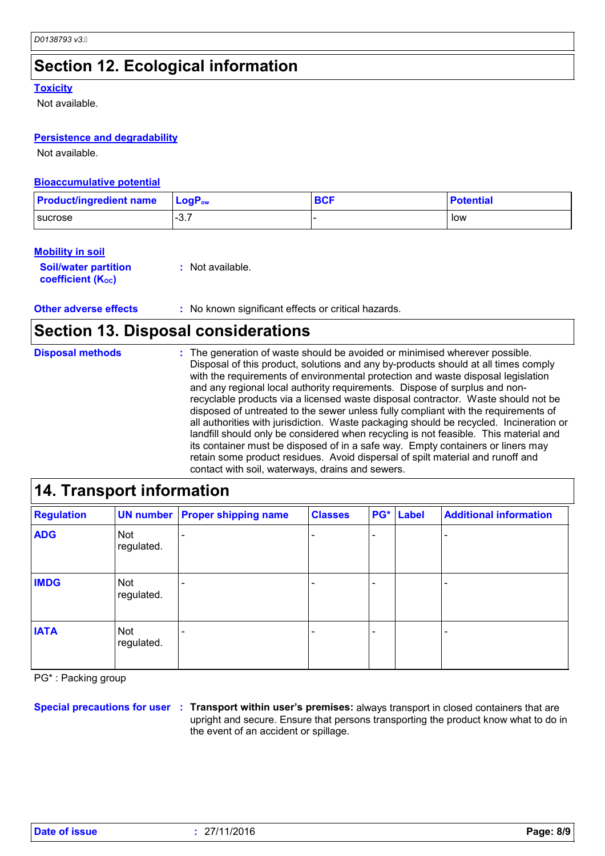## **Section 12. Ecological information**

### **Toxicity**

Not available.

### **Persistence and degradability**

Not available.

### **Bioaccumulative potential**

| <b>Product/ingredient name</b> | $\mathsf{LoaP}_\mathsf{ow}$ | <b>BCF</b> | <b>Potential</b> |
|--------------------------------|-----------------------------|------------|------------------|
| <b>I</b> sucrose               | $\sim$ $\sim$<br>…ت−        |            | low              |

### **Mobility in soil**

**Soil/water partition coefficient (Koc) :** Not available.

**Other adverse effects** : No known significant effects or critical hazards.

## **Section 13. Disposal considerations**

The generation of waste should be avoided or minimised wherever possible. Disposal of this product, solutions and any by-products should at all times comply with the requirements of environmental protection and waste disposal legislation and any regional local authority requirements. Dispose of surplus and nonrecyclable products via a licensed waste disposal contractor. Waste should not be disposed of untreated to the sewer unless fully compliant with the requirements of all authorities with jurisdiction. Waste packaging should be recycled. Incineration or landfill should only be considered when recycling is not feasible. This material and its container must be disposed of in a safe way. Empty containers or liners may retain some product residues. Avoid dispersal of spilt material and runoff and contact with soil, waterways, drains and sewers. **Disposal methods :**

| 14. Transport information |                   |                                       |                |     |       |                               |
|---------------------------|-------------------|---------------------------------------|----------------|-----|-------|-------------------------------|
| <b>Regulation</b>         |                   | <b>UN number Proper shipping name</b> | <b>Classes</b> | PG* | Label | <b>Additional information</b> |
| <b>ADG</b>                | Not<br>regulated. |                                       |                |     |       |                               |
| <b>IMDG</b>               | Not<br>regulated. |                                       |                |     |       |                               |
| <b>IATA</b>               | Not<br>regulated. |                                       |                |     |       |                               |

PG\* : Packing group

**Special precautions for user Transport within user's premises:** always transport in closed containers that are **:** upright and secure. Ensure that persons transporting the product know what to do in the event of an accident or spillage.